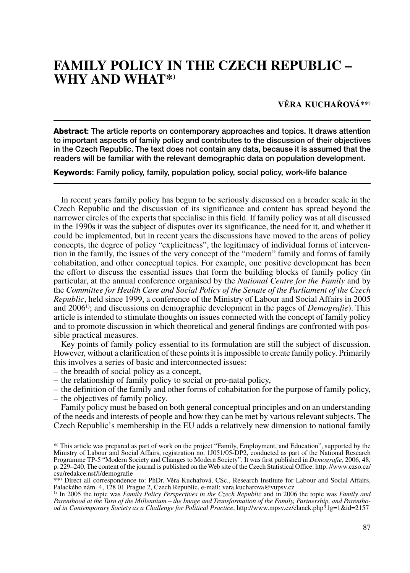# **FAMILY POLICY IN THE CZECH REPUBLIC -WHY AND WHAT\*)**

## **VĚRA KUCHAŘOVÁ\*\*)**

**Abstract**: The article reports on contemporary approaches and topics. It draws attention to important aspects of family policy and contributes to the discussion of their objectives in the Czech Republic. The text does not contain any data, because it is assumed that the readers will be familiar with the relevant demographic data on population development.

**Keywords**: Family policy, family, population policy, social policy, work-life balance

In recent years family policy has begun to be seriously discussed on a broader scale in the Czech Republic and the discussion of its significance and content has spread beyond the narrower circles of the experts that specialise in this field. If family policy was at all discussed in the 1990s it was the subject of disputes over its significance, the need for it, and whether it could be implemented, but in recent years the discussions have moved to the areas of policy concepts, the degree of policy "explicitness", the legitimacy of individual forms of intervention in the family, the issues of the very concept of the "modern" family and forms of family cohabitation, and other conceptual topics. For example, one positive development has been the effort to discuss the essential issues that form the building blocks of family policy (in particular, at the annual conference organised by the *National Centre for the Family* and by the *Committee for Health Care and Social Policy of the Senate of the Parliament of the Czech Republic*, held since 1999, a conference of the Ministry of Labour and Social Affairs in 2005 and 20061); and discussions on demographic development in the pages of *Demografie*). This article is intended to stimulate thoughts on issues connected with the concept of family policy and to promote discussion in which theoretical and general findings are confronted with possible practical measures.

Key points of family policy essential to its formulation are still the subject of discussion. However, without a clarification of these points it is impossible to create family policy. Primarily this involves a series of basic and interconnected issues:

- the breadth of social policy as a concept,
- the relationship of family policy to social or pro-natal policy,
- the definition of the family and other forms of cohabitation for the purpose of family policy,
- the objectives of family policy.

Family policy must be based on both general conceptual principles and on an understanding of the needs and interests of people and how they can be met by various relevant subjects. The Czech Republic's membership in the EU adds a relatively new dimension to national family

<sup>\*)</sup> This article was prepared as part of work on the project "Family, Employment, and Education", supported by the Ministry of Labour and Social Affairs, registration no. 1J051/05-DP2, conducted as part of the National Research Programme TP-5 "Modern Society and Changes to Modern Society". It was first published in *Demografie*, 2006, 48, p. 229–240. The content of the journal is published on the Web site of the Czech Statistical Office: http://www.czso.cz/ csu/redakce.nsf/i/demografie

<sup>\*\*)</sup> Direct all correspondence to: PhDr. Věra Kuchařová, CSc., Research Institute for Labour and Social Affairs, Palackého nám. 4, 128 01 Prague 2, Czech Republic, e-mail: vera.kucharova@vupsv.cz

<sup>1)</sup> In 2005 the topic was *Family Policy Perspectives in the Czech Republic* and in 2006 the topic was *Family and* Parenthood at the Turn of the Millennium – the Image and Transformation of the Family, Partnership, and Parentho*od in Contemporary Society as a Challenge for Political Practice*, http://www.mpsv.cz/clanek.php?1g=1&id=2157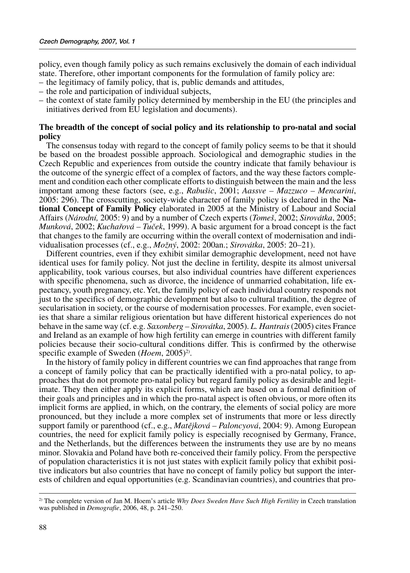policy, even though family policy as such remains exclusively the domain of each individual state. Therefore, other important components for the formulation of family policy are:

- the legitimacy of family policy, that is, public demands and attitudes,
- the role and participation of individual subjects,
- the context of state family policy determined by membership in the EU (the principles and initiatives derived from EU legislation and documents).

### **The breadth of the concept of social policy and its relationship to pro-natal and social policy**

The consensus today with regard to the concept of family policy seems to be that it should be based on the broadest possible approach. Sociological and demographic studies in the Czech Republic and experiences from outside the country indicate that family behaviour is the outcome of the synergic effect of a complex of factors, and the way these factors complement and condition each other complicate efforts to distinguish between the main and the less important among these factors (see, e.g., *Rabušic*, 2001; *Aassve – Mazzuco – Mencarini*, 2005: 296). The crosscutting, society-wide character of family policy is declared in the **National Concept of Family Policy** elaborated in 2005 at the Ministry of Labour and Social Affairs (*N·rodnÌ,* 2005: 9) and by a number of Czech experts (*Tomeö*, 2002; *Sirov·tka*, 2005; *Munková*, 2002; *Kuchařová – Tuček*, 1999). A basic argument for a broad concept is the fact that changes to the family are occurring within the overall context of modernisation and individualisation processes (cf., e.g., *Možný*, 2002: 200an.; *Sirovátka*, 2005: 20–21).

Different countries, even if they exhibit similar demographic development, need not have identical uses for family policy. Not just the decline in fertility, despite its almost universal applicability, took various courses, but also individual countries have different experiences with specific phenomena, such as divorce, the incidence of unmarried cohabitation, life expectancy, youth pregnancy, etc. Yet, the family policy of each individual country responds not just to the specifics of demographic development but also to cultural tradition, the degree of secularisation in society, or the course of modernisation processes. For example, even societies that share a similar religious orientation but have different historical experiences do not behave in the same way (cf. e.g. *Saxonberg – Sirovátka*, 2005). *L. Hantrais* (2005) cites France and Ireland as an example of how high fertility can emerge in countries with different family policies because their socio-cultural conditions differ. This is confirmed by the otherwise specific example of Sweden (*Hoem*, 2005)<sup>2)</sup>.

In the history of family policy in different countries we can find approaches that range from a concept of family policy that can be practically identified with a pro-natal policy, to approaches that do not promote pro-natal policy but regard family policy as desirable and legitimate. They then either apply its explicit forms, which are based on a formal definition of their goals and principles and in which the pro-natal aspect is often obvious, or more often its implicit forms are applied, in which, on the contrary, the elements of social policy are more pronounced, but they include a more complex set of instruments that more or less directly support family or parenthood (cf., e.g., *Matějková – Paloncyová*, 2004: 9). Among European countries, the need for explicit family policy is especially recognised by Germany, France, and the Netherlands, but the differences between the instruments they use are by no means minor. Slovakia and Poland have both re-conceived their family policy. From the perspective of population characteristics it is not just states with explicit family policy that exhibit positive indicators but also countries that have no concept of family policy but support the interests of children and equal opportunities (e.g. Scandinavian countries), and countries that pro-

<sup>2)</sup> The complete version of Jan M. Hoemís article *Why Does Sweden Have Such High Fertility* in Czech translation was published in *Demografie*, 2006, 48, p. 241-250.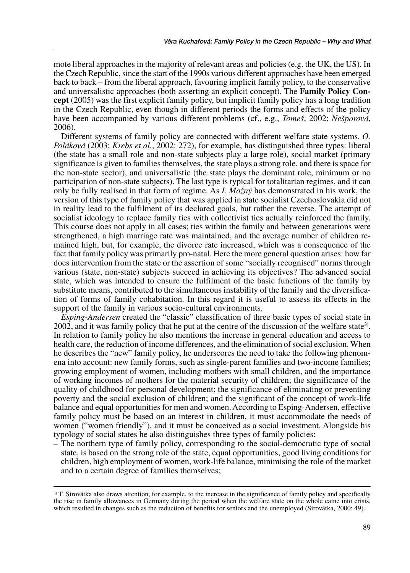mote liberal approaches in the majority of relevant areas and policies (e.g. the UK, the US). In the Czech Republic, since the start of the 1990s various different approaches have been emerged back to back – from the liberal approach, favouring implicit family policy, to the conservative and universalistic approaches (both asserting an explicit concept). The **Family Policy Concept** (2005) was the first explicit family policy, but implicit family policy has a long tradition in the Czech Republic, even though in different periods the forms and effects of the policy have been accompanied by various different problems (cf., e.g., *Tomeš*, 2002; *Nešporová*, 2006).

Different systems of family policy are connected with different welfare state systems. *O. Poláková* (2003; *Krebs et al.*, 2002: 272), for example, has distinguished three types: liberal (the state has a small role and non-state subjects play a large role), social market (primary significance is given to families themselves, the state plays a strong role, and there is space for the non-state sector), and universalistic (the state plays the dominant role, minimum or no participation of non-state subjects). The last type is typical for totalitarian regimes, and it can only be fully realised in that form of regime. As *I. Možný* has demonstrated in his work, the version of this type of family policy that was applied in state socialist Czechoslovakia did not in reality lead to the fulfilment of its declared goals, but rather the reverse. The attempt of socialist ideology to replace family ties with collectivist ties actually reinforced the family. This course does not apply in all cases; ties within the family and between generations were strengthened, a high marriage rate was maintained, and the average number of children remained high, but, for example, the divorce rate increased, which was a consequence of the fact that family policy was primarily pro-natal. Here the more general question arises: how far does intervention from the state or the assertion of some "socially recognised" norms through various (state, non-state) subjects succeed in achieving its objectives? The advanced social state, which was intended to ensure the fulfilment of the basic functions of the family by substitute means, contributed to the simultaneous instability of the family and the diversification of forms of family cohabitation. In this regard it is useful to assess its effects in the support of the family in various socio-cultural environments.

*Esping-Andersen* created the "classic" classification of three basic types of social state in 2002, and it was family policy that he put at the centre of the discussion of the welfare state<sup>3)</sup>. In relation to family policy he also mentions the increase in general education and access to health care, the reduction of income differences, and the elimination of social exclusion. When he describes the "new" family policy, he underscores the need to take the following phenomena into account: new family forms, such as single-parent families and two-income families; growing employment of women, including mothers with small children, and the importance of working incomes of mothers for the material security of children; the significance of the quality of childhood for personal development; the significance of eliminating or preventing poverty and the social exclusion of children; and the significant of the concept of work-life balance and equal opportunities for men and women. According to Esping-Andersen, effective family policy must be based on an interest in children, it must accommodate the needs of women ("women friendly"), and it must be conceived as a social investment. Alongside his typology of social states he also distinguishes three types of family policies:

– The northern type of family policy, corresponding to the social-democratic type of social state, is based on the strong role of the state, equal opportunities, good living conditions for children, high employment of women, work-life balance, minimising the role of the market and to a certain degree of families themselves;

 $3$ ) T. Sirovátka also draws attention, for example, to the increase in the significance of family policy and specifically the rise in family allowances in Germany during the period when the welfare state on the whole came into crisis, which resulted in changes such as the reduction of benefits for seniors and the unemployed (Sirovátka, 2000: 49).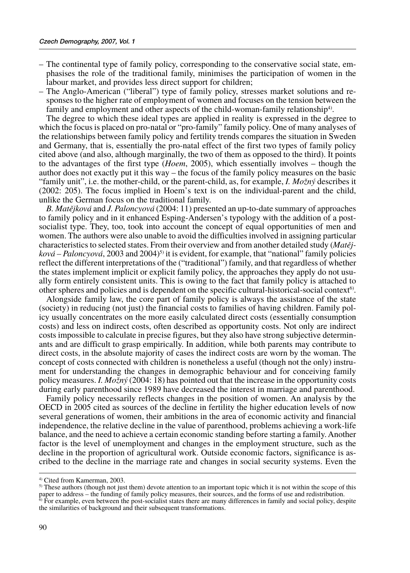- The continental type of family policy, corresponding to the conservative social state, emphasises the role of the traditional family, minimises the participation of women in the labour market, and provides less direct support for children;
- The Anglo-American ("liberal") type of family policy, stresses market solutions and responses to the higher rate of employment of women and focuses on the tension between the family and employment and other aspects of the child-woman-family relationship<sup>4)</sup>.

The degree to which these ideal types are applied in reality is expressed in the degree to which the focus is placed on pro-natal or "pro-family" family policy. One of many analyses of the relationships between family policy and fertility trends compares the situation in Sweden and Germany, that is, essentially the pro-natal effect of the first two types of family policy cited above (and also, although marginally, the two of them as opposed to the third). It points to the advantages of the first type (*Hoem*, 2005), which essentially involves – though the author does not exactly put it this way – the focus of the family policy measures on the basic ìfamily unitî, i.e. the mother-child, or the parent-child, as, for example, *I. Moûn˝* describes it (2002: 205). The focus implied in Hoemís text is on the individual-parent and the child, unlike the German focus on the traditional family.

*B. Matějková* and *J. Paloncyová* (2004: 11) presented an up-to-date summary of approaches to family policy and in it enhanced Esping-Andersen's typology with the addition of a postsocialist type. They, too, took into account the concept of equal opportunities of men and women. The authors were also unable to avoid the difficulties involved in assigning particular characteristics to selected states. From their overview and from another detailed study (*Matěj* $kov\hat{a}$  – Paloncyová, 2003 and 2004)<sup>5</sup> it is evident, for example, that "national" family policies reflect the different interpretations of the ("traditional") family, and that regardless of whether the states implement implicit or explicit family policy, the approaches they apply do not usually form entirely consistent units. This is owing to the fact that family policy is attached to other spheres and policies and is dependent on the specific cultural-historical-social context $\epsilon^{(6)}$ .

Alongside family law, the core part of family policy is always the assistance of the state (society) in reducing (not just) the financial costs to families of having children. Family policy usually concentrates on the more easily calculated direct costs (essentially consumption costs) and less on indirect costs, often described as opportunity costs. Not only are indirect costs impossible to calculate in precise figures, but they also have strong subjective determinants and are difficult to grasp empirically. In addition, while both parents may contribute to direct costs, in the absolute majority of cases the indirect costs are worn by the woman. The concept of costs connected with children is nonetheless a useful (though not the only) instrument for understanding the changes in demographic behaviour and for conceiving family policy measures. *I. Možný* (2004: 18) has pointed out that the increase in the opportunity costs during early parenthood since 1989 have decreased the interest in marriage and parenthood.

Family policy necessarily reflects changes in the position of women. An analysis by the OECD in 2005 cited as sources of the decline in fertility the higher education levels of now several generations of women, their ambitions in the area of economic activity and financial independence, the relative decline in the value of parenthood, problems achieving a work-life balance, and the need to achieve a certain economic standing before starting a family. Another factor is the level of unemployment and changes in the employment structure, such as the decline in the proportion of agricultural work. Outside economic factors, significance is ascribed to the decline in the marriage rate and changes in social security systems. Even the

<sup>4)</sup> Cited from Kamerman, 2003.

<sup>5)</sup> These authors (though not just them) devote attention to an important topic which it is not within the scope of this paper to address – the funding of family policy measures, their sources, and the forms of use and redistribution.<br><sup>6)</sup> For example, even between the post-socialist states there are many differences in family and social pol

the similarities of background and their subsequent transformations.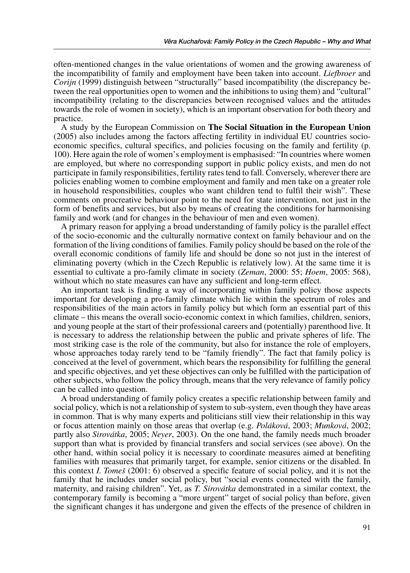often-mentioned changes in the value orientations of women and the growing awareness of the incompatibility of family and employment have been taken into account. *Liefbroer* and *Corijn* (1999) distinguish between "structurally" based incompatibility (the discrepancy between the real opportunities open to women and the inhibitions to using them) and "cultural" incompatibility (relating to the discrepancies between recognised values and the attitudes towards the role of women in society), which is an important observation for both theory and practice.

A study by the European Commission on **The Social Situation in the European Union** (2005) also includes among the factors affecting fertility in individual EU countries socioeconomic specifics, cultural specifics, and policies focusing on the family and fertility (p. 100). Here again the role of women's employment is emphasised: "In countries where women are employed, but where no corresponding support in public policy exists, and men do not participate in family responsibilities, fertility rates tend to fall. Conversely, wherever there are policies enabling women to combine employment and family and men take on a greater role in household responsibilities, couples who want children tend to fulfil their wishî. These comments on procreative behaviour point to the need for state intervention, not just in the form of benefits and services, but also by means of creating the conditions for harmonising family and work (and for changes in the behaviour of men and even women).

A primary reason for applying a broad understanding of family policy is the parallel effect of the socio-economic and the culturally normative context on family behaviour and on the formation of the living conditions of families. Family policy should be based on the role of the overall economic conditions of family life and should be done so not just in the interest of eliminating poverty (which in the Czech Republic is relatively low). At the same time it is essential to cultivate a pro-family climate in society (*Zeman*, 2000: 55; *Hoem*, 2005: 568), without which no state measures can have any sufficient and long-term effect.

An important task is finding a way of incorporating within family policy those aspects important for developing a pro-family climate which lie within the spectrum of roles and responsibilities of the main actors in family policy but which form an essential part of this climate – this means the overall socio-economic context in which families, children, seniors, and young people at the start of their professional careers and (potentially) parenthood live. It is necessary to address the relationship between the public and private spheres of life. The most striking case is the role of the community, but also for instance the role of employers, whose approaches today rarely tend to be "family friendly". The fact that family policy is conceived at the level of government, which bears the responsibility for fulfilling the general and specific objectives, and yet these objectives can only be fulfilled with the participation of other subjects, who follow the policy through, means that the very relevance of family policy can be called into question.

A broad understanding of family policy creates a specific relationship between family and social policy, which is not a relationship of system to sub-system, even though they have areas in common. That is why many experts and politicians still view their relationship in this way or focus attention mainly on those areas that overlap (e.g. *Poláková*, 2003; *Munková*, 2002; partly also *Sirovátka*, 2005; *Neyer*, 2003). On the one hand, the family needs much broader support than what is provided by financial transfers and social services (see above). On the other hand, within social policy it is necessary to coordinate measures aimed at benefiting families with measures that primarily target, for example, senior citizens or the disabled. In this context *I. Tomeö* (2001: 6) observed a specific feature of social policy, and it is not the family that he includes under social policy, but "social events connected with the family, maternity, and raising children". Yet, as *T. Sirovátka* demonstrated in a similar context, the contemporary family is becoming a "more urgent" target of social policy than before, given the significant changes it has undergone and given the effects of the presence of children in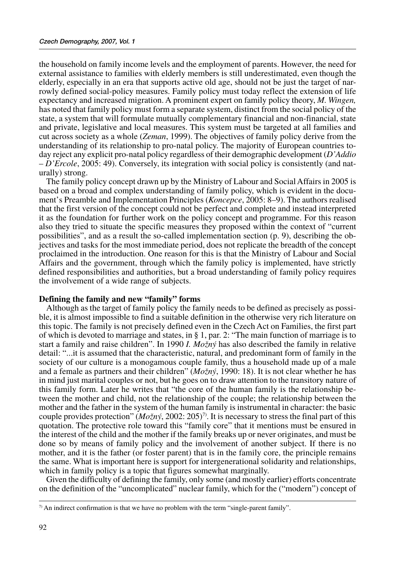the household on family income levels and the employment of parents. However, the need for external assistance to families with elderly members is still underestimated, even though the elderly, especially in an era that supports active old age, should not be just the target of narrowly defined social-policy measures. Family policy must today reflect the extension of life expectancy and increased migration. A prominent expert on family policy theory, *M. Wingen,* has noted that family policy must form a separate system, distinct from the social policy of the state, a system that will formulate mutually complementary financial and non-financial, state and private, legislative and local measures. This system must be targeted at all families and cut across society as a whole (*Zeman*, 1999). The objectives of family policy derive from the understanding of its relationship to pro-natal policy. The majority of European countries today reject any explicit pro-natal policy regardless of their demographic development (*DíAddio* ñ *DíErcole*, 2005: 49). Conversely, its integration with social policy is consistently (and naturally) strong.

The family policy concept drawn up by the Ministry of Labour and Social Affairs in 2005 is based on a broad and complex understanding of family policy, which is evident in the document's Preamble and Implementation Principles (*Koncepce*, 2005: 8–9). The authors realised that the first version of the concept could not be perfect and complete and instead interpreted it as the foundation for further work on the policy concept and programme. For this reason also they tried to situate the specific measures they proposed within the context of "current" possibilitiesî, and as a result the so-called implementation section (p. 9), describing the objectives and tasks for the most immediate period, does not replicate the breadth of the concept proclaimed in the introduction. One reason for this is that the Ministry of Labour and Social Affairs and the government, through which the family policy is implemented, have strictly defined responsibilities and authorities, but a broad understanding of family policy requires the involvement of a wide range of subjects.

#### **Defining the family and new "family" forms**

Although as the target of family policy the family needs to be defined as precisely as possible, it is almost impossible to find a suitable definition in the otherwise very rich literature on this topic. The family is not precisely defined even in the Czech Act on Families, the first part of which is devoted to marriage and states, in  $\S$  1, par. 2: "The main function of marriage is to start a family and raise children". In 1990 *I. Možný* has also described the family in relative detail: "...it is assumed that the characteristic, natural, and predominant form of family in the society of our culture is a monogamous couple family, thus a household made up of a male and a female as partners and their children<sup>"</sup> ( $Mo\check{z}n\check{y}$ , 1990: 18). It is not clear whether he has in mind just marital couples or not, but he goes on to draw attention to the transitory nature of this family form. Later he writes that "the core of the human family is the relationship between the mother and child, not the relationship of the couple; the relationship between the mother and the father in the system of the human family is instrumental in character: the basic couple provides protection<sup>*n*</sup> (*Možný*, 2002: 205<sup>7</sup>). It is necessary to stress the final part of this quotation. The protective role toward this "family core" that it mentions must be ensured in the interest of the child and the mother if the family breaks up or never originates, and must be done so by means of family policy and the involvement of another subject. If there is no mother, and it is the father (or foster parent) that is in the family core, the principle remains the same. What is important here is support for intergenerational solidarity and relationships, which in family policy is a topic that figures somewhat marginally.

Given the difficulty of defining the family, only some (and mostly earlier) efforts concentrate on the definition of the "uncomplicated" nuclear family, which for the ("modern") concept of

 $7$ ) An indirect confirmation is that we have no problem with the term "single-parent family".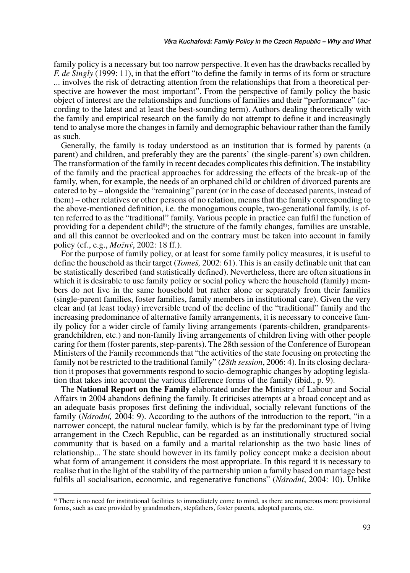family policy is a necessary but too narrow perspective. It even has the drawbacks recalled by *F. de Singly* (1999: 11), in that the effort "to define the family in terms of its form or structure ... involves the risk of detracting attention from the relationships that from a theoretical perspective are however the most important". From the perspective of family policy the basic object of interest are the relationships and functions of families and their "performance" (according to the latest and at least the best-sounding term). Authors dealing theoretically with the family and empirical research on the family do not attempt to define it and increasingly tend to analyse more the changes in family and demographic behaviour rather than the family as such.

Generally, the family is today understood as an institution that is formed by parents (a parent) and children, and preferably they are the parents' (the single-parent's) own children. The transformation of the family in recent decades complicates this definition. The instability of the family and the practical approaches for addressing the effects of the break-up of the family, when, for example, the needs of an orphaned child or children of divorced parents are catered to by – alongside the "remaining" parent (or in the case of deceased parents, instead of them) – other relatives or other persons of no relation, means that the family corresponding to the above-mentioned definition, i.e. the monogamous couple, two-generational family, is often referred to as the "traditional" family. Various people in practice can fulfil the function of providing for a dependent child<sup>8)</sup>; the structure of the family changes, families are unstable, and all this cannot be overlooked and on the contrary must be taken into account in family policy (cf., e.g., *Moûn˝*, 2002: 18 ff.).

For the purpose of family policy, or at least for some family policy measures, it is useful to define the household as their target (*Tomeö,* 2002: 61). This is an easily definable unit that can be statistically described (and statistically defined). Nevertheless, there are often situations in which it is desirable to use family policy or social policy where the household (family) members do not live in the same household but rather alone or separately from their families (single-parent families, foster families, family members in institutional care). Given the very clear and (at least today) irreversible trend of the decline of the "traditional" family and the increasing predominance of alternative family arrangements, it is necessary to conceive family policy for a wider circle of family living arrangements (parents-children, grandparentsgrandchildren, etc.) and non-family living arrangements of children living with other people caring for them (foster parents, step-parents). The 28th session of the Conference of European Ministers of the Family recommends that "the activities of the state focusing on protecting the family not be restricted to the traditional familyî (*28th session*, 2006: 4). In its closing declaration it proposes that governments respond to socio-demographic changes by adopting legislation that takes into account the various difference forms of the family (ibid., p. 9).

The **National Report on the Family** elaborated under the Ministry of Labour and Social Affairs in 2004 abandons defining the family. It criticises attempts at a broad concept and as an adequate basis proposes first defining the individual, socially relevant functions of the family (*Národní*, 2004: 9). According to the authors of the introduction to the report, "in a narrower concept, the natural nuclear family, which is by far the predominant type of living arrangement in the Czech Republic, can be regarded as an institutionally structured social community that is based on a family and a marital relationship as the two basic lines of relationship... The state should however in its family policy concept make a decision about what form of arrangement it considers the most appropriate. In this regard it is necessary to realise that in the light of the stability of the partnership union a family based on marriage best fulfils all socialisation, economic, and regenerative functions" (*Národní*, 2004: 10). Unlike

<sup>8)</sup> There is no need for institutional facilities to immediately come to mind, as there are numerous more provisional forms, such as care provided by grandmothers, stepfathers, foster parents, adopted parents, etc.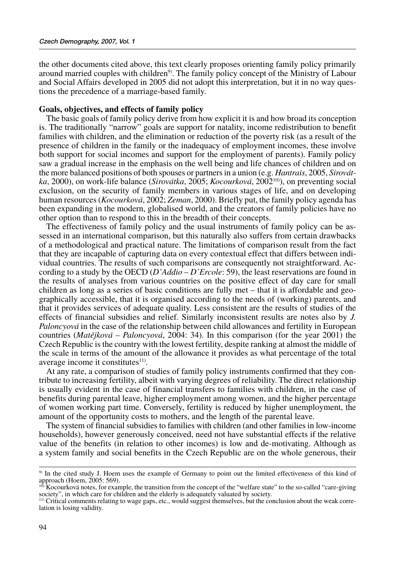the other documents cited above, this text clearly proposes orienting family policy primarily around married couples with children<sup>9)</sup>. The family policy concept of the Ministry of Labour and Social Affairs developed in 2005 did not adopt this interpretation, but it in no way questions the precedence of a marriage-based family.

#### **Goals, objectives, and effects of family policy**

The basic goals of family policy derive from how explicit it is and how broad its conception is. The traditionally "narrow" goals are support for natality, income redistribution to benefit families with children, and the elimination or reduction of the poverty risk (as a result of the presence of children in the family or the inadequacy of employment incomes, these involve both support for social incomes and support for the employment of parents). Family policy saw a gradual increase in the emphasis on the well being and life chances of children and on the more balanced positions of both spouses or partners in a union (e.g. *Hantrais*, 2005, *Sirovátka*, 2000), on work-life balance (*Sirovátka*, 2005; *Kocourková*, 2002<sup>10</sup>), on preventing social exclusion, on the security of family members in various stages of life, and on developing human resources (*Kocourková*, 2002; *Zeman*, 2000). Briefly put, the family policy agenda has been expanding in the modern, globalised world, and the creators of family policies have no other option than to respond to this in the breadth of their concepts.

The effectiveness of family policy and the usual instruments of family policy can be assessed in an international comparison, but this naturally also suffers from certain drawbacks of a methodological and practical nature. The limitations of comparison result from the fact that they are incapable of capturing data on every contextual effect that differs between individual countries. The results of such comparisons are consequently not straightforward. According to a study by the OECD (*D'Addio - D'Ercole*: 59), the least reservations are found in the results of analyses from various countries on the positive effect of day care for small children as long as a series of basic conditions are fully met  $-$  that it is affordable and geographically accessible, that it is organised according to the needs of (working) parents, and that it provides services of adequate quality. Less consistent are the results of studies of the effects of financial subsidies and relief. Similarly inconsistent results are notes also by *J. Paloncyová* in the case of the relationship between child allowances and fertility in European countries (*Matějková – Paloncyová*, 2004: 34). In this comparison (for the year 2001) the Czech Republic is the country with the lowest fertility, despite ranking at almost the middle of the scale in terms of the amount of the allowance it provides as what percentage of the total average income it constitutes $11$ .

At any rate, a comparison of studies of family policy instruments confirmed that they contribute to increasing fertility, albeit with varying degrees of reliability. The direct relationship is usually evident in the case of financial transfers to families with children, in the case of benefits during parental leave, higher employment among women, and the higher percentage of women working part time. Conversely, fertility is reduced by higher unemployment, the amount of the opportunity costs to mothers, and the length of the parental leave.

The system of financial subsidies to families with children (and other families in low-income households), however generously conceived, need not have substantial effects if the relative value of the benefits (in relation to other incomes) is low and de-motivating. Although as a system family and social benefits in the Czech Republic are on the whole generous, their

<sup>9)</sup> In the cited study J. Hoem uses the example of Germany to point out the limited effectiveness of this kind of approach (Hoem, 2005: 569).

 $10$  Kocourková notes, for example, the transition from the concept of the "welfare state" to the so-called "care-giving society", in which care for children and the elderly is adequately valuated by society.

<sup>11)</sup> Critical comments relating to wage gaps, etc., would suggest themselves, but the conclusion about the weak correlation is losing validity.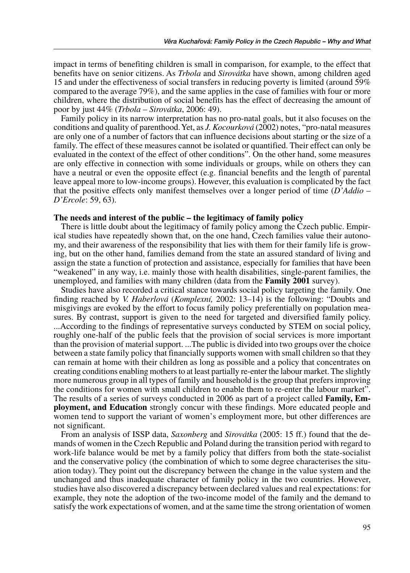impact in terms of benefiting children is small in comparison, for example, to the effect that benefits have on senior citizens. As *Trbola* and *Sirovátka* have shown, among children aged 15 and under the effectiveness of social transfers in reducing poverty is limited (around 59% compared to the average 79%), and the same applies in the case of families with four or more children, where the distribution of social benefits has the effect of decreasing the amount of poor by just 44% (*Trbola – Sirovátka*, 2006: 49).

Family policy in its narrow interpretation has no pro-natal goals, but it also focuses on the conditions and quality of parenthood. Yet, as *J. Kocourková* (2002) notes, "pro-natal measures are only one of a number of factors that can influence decisions about starting or the size of a family. The effect of these measures cannot be isolated or quantified. Their effect can only be evaluated in the context of the effect of other conditions". On the other hand, some measures are only effective in connection with some individuals or groups, while on others they can have a neutral or even the opposite effect (e.g. financial benefits and the length of parental leave appeal more to low-income groups). However, this evaluation is complicated by the fact that the positive effects only manifest themselves over a longer period of time  $(D'Addio -$ *DíErcole*: 59, 63).

#### The needs and interest of the public – the legitimacy of family policy

There is little doubt about the legitimacy of family policy among the Czech public. Empirical studies have repeatedly shown that, on the one hand, Czech families value their autonomy, and their awareness of the responsibility that lies with them for their family life is growing, but on the other hand, families demand from the state an assured standard of living and assign the state a function of protection and assistance, especially for families that have been ìweakenedî in any way, i.e. mainly those with health disabilities, single-parent families, the unemployed, and families with many children (data from the **Family 2001** survey).

Studies have also recorded a critical stance towards social policy targeting the family. One finding reached by *V. Haberlová* (*Komplexní*, 2002: 13–14) is the following: "Doubts and misgivings are evoked by the effort to focus family policy preferentially on population measures. By contrast, support is given to the need for targeted and diversified family policy. ...According to the findings of representative surveys conducted by STEM on social policy, roughly one-half of the public feels that the provision of social services is more important than the provision of material support. ...The public is divided into two groups over the choice between a state family policy that financially supports women with small children so that they can remain at home with their children as long as possible and a policy that concentrates on creating conditions enabling mothers to at least partially re-enter the labour market. The slightly more numerous group in all types of family and household is the group that prefers improving the conditions for women with small children to enable them to re-enter the labour market". The results of a series of surveys conducted in 2006 as part of a project called **Family, Employment, and Education** strongly concur with these findings. More educated people and women tend to support the variant of women's employment more, but other differences are not significant.

From an analysis of ISSP data, *Saxonberg* and *Sirovátka* (2005: 15 ff.) found that the demands of women in the Czech Republic and Poland during the transition period with regard to work-life balance would be met by a family policy that differs from both the state-socialist and the conservative policy (the combination of which to some degree characterises the situation today). They point out the discrepancy between the change in the value system and the unchanged and thus inadequate character of family policy in the two countries. However, studies have also discovered a discrepancy between declared values and real expectations: for example, they note the adoption of the two-income model of the family and the demand to satisfy the work expectations of women, and at the same time the strong orientation of women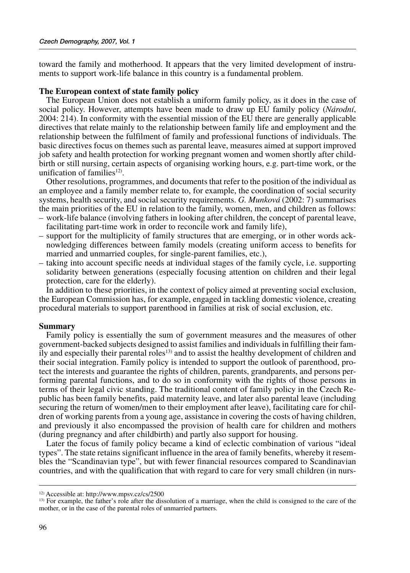toward the family and motherhood. It appears that the very limited development of instruments to support work-life balance in this country is a fundamental problem.

#### **The European context of state family policy**

The European Union does not establish a uniform family policy, as it does in the case of social policy. However, attempts have been made to draw up EU family policy (*Národní*, 2004: 214). In conformity with the essential mission of the EU there are generally applicable directives that relate mainly to the relationship between family life and employment and the relationship between the fulfilment of family and professional functions of individuals. The basic directives focus on themes such as parental leave, measures aimed at support improved job safety and health protection for working pregnant women and women shortly after childbirth or still nursing, certain aspects of organising working hours, e.g. part-time work, or the unification of families<sup>12)</sup>.

Other resolutions, programmes, and documents that refer to the position of the individual as an employee and a family member relate to, for example, the coordination of social security systems, health security, and social security requirements. *G. Munková* (2002: 7) summarises the main priorities of the EU in relation to the family, women, men, and children as follows:

- ñ work-life balance (involving fathers in looking after children, the concept of parental leave, facilitating part-time work in order to reconcile work and family life),
- support for the multiplicity of family structures that are emerging, or in other words acknowledging differences between family models (creating uniform access to benefits for married and unmarried couples, for single-parent families, etc.),
- taking into account specific needs at individual stages of the family cycle, i.e. supporting solidarity between generations (especially focusing attention on children and their legal protection, care for the elderly).

In addition to these priorities, in the context of policy aimed at preventing social exclusion, the European Commission has, for example, engaged in tackling domestic violence, creating procedural materials to support parenthood in families at risk of social exclusion, etc.

#### **Summary**

Family policy is essentially the sum of government measures and the measures of other government-backed subjects designed to assist families and individuals in fulfilling their fam $i$ ly and especially their parental roles<sup>13)</sup> and to assist the healthy development of children and their social integration. Family policy is intended to support the outlook of parenthood, protect the interests and guarantee the rights of children, parents, grandparents, and persons performing parental functions, and to do so in conformity with the rights of those persons in terms of their legal civic standing. The traditional content of family policy in the Czech Republic has been family benefits, paid maternity leave, and later also parental leave (including securing the return of women/men to their employment after leave), facilitating care for children of working parents from a young age, assistance in covering the costs of having children, and previously it also encompassed the provision of health care for children and mothers (during pregnancy and after childbirth) and partly also support for housing.

Later the focus of family policy became a kind of eclectic combination of various "ideal typesî. The state retains significant influence in the area of family benefits, whereby it resembles the "Scandinavian type", but with fewer financial resources compared to Scandinavian countries, and with the qualification that with regard to care for very small children (in nurs-

<sup>&</sup>lt;sup>12)</sup> Accessible at: http://www.mpsv.cz/cs/2500  $\frac{13}{13}$  For example, the father's role after the dissolution of a marriage, when the child is consigned to the care of the mother, or in the case of the parental roles of unmarried partners.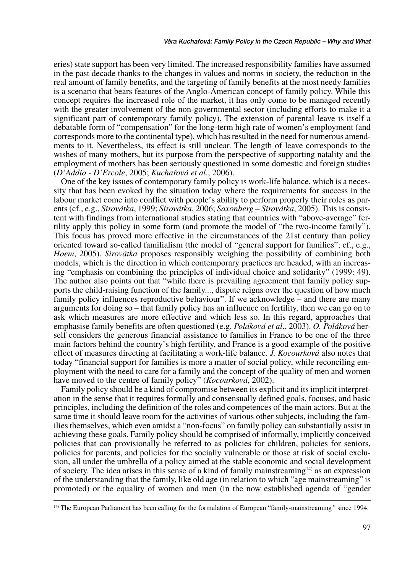eries) state support has been very limited. The increased responsibility families have assumed in the past decade thanks to the changes in values and norms in society, the reduction in the real amount of family benefits, and the targeting of family benefits at the most needy families is a scenario that bears features of the Anglo-American concept of family policy. While this concept requires the increased role of the market, it has only come to be managed recently with the greater involvement of the non-governmental sector (including efforts to make it a significant part of contemporary family policy). The extension of parental leave is itself a debatable form of "compensation" for the long-term high rate of women's employment (and corresponds more to the continental type), which has resulted in the need for numerous amendments to it. Nevertheless, its effect is still unclear. The length of leave corresponds to the wishes of many mothers, but its purpose from the perspective of supporting natality and the employment of mothers has been seriously questioned in some domestic and foreign studies (*DíAddio - DíErcole*, 2005; *Kucha¯ov· et al*., 2006).

One of the key issues of contemporary family policy is work-life balance, which is a necessity that has been evoked by the situation today where the requirements for success in the labour market come into conflict with people's ability to perform properly their roles as parents (cf., e.g., *Sirovátka*, 1999; *Sirovátka*, 2006; *Saxonberg – Sirovátka*, 2005). This is consistent with findings from international studies stating that countries with "above-average" fertility apply this policy in some form (and promote the model of "the two-income family"). This focus has proved more effective in the circumstances of the 21st century than policy oriented toward so-called familialism (the model of "general support for families"; cf., e.g., *Hoem*, 2005). *Sirovátka* proposes responsibly weighing the possibility of combining both models, which is the direction in which contemporary practices are headed, with an increasing "emphasis on combining the principles of individual choice and solidarity" (1999: 49). The author also points out that "while there is prevailing agreement that family policy supports the child-raising function of the family..., dispute reigns over the question of how much family policy influences reproductive behaviour". If we acknowledge  $\overline{\phantom{a}}$  and there are many arguments for doing so – that family policy has an influence on fertility, then we can go on to ask which measures are more effective and which less so. In this regard, approaches that emphasise family benefits are often questioned (e.g. *Poláková et al.*, 2003). *O. Poláková* herself considers the generous financial assistance to families in France to be one of the three main factors behind the country's high fertility, and France is a good example of the positive effect of measures directing at facilitating a work-life balance. *J. Kocourková* also notes that today "financial support for families is more a matter of social policy, while reconciling employment with the need to care for a family and the concept of the quality of men and women have moved to the centre of family policy" (*Kocourková*, 2002).

Family policy should be a kind of compromise between its explicit and its implicit interpretation in the sense that it requires formally and consensually defined goals, focuses, and basic principles, including the definition of the roles and competences of the main actors. But at the same time it should leave room for the activities of various other subjects, including the families themselves, which even amidst a "non-focus" on family policy can substantially assist in achieving these goals. Family policy should be comprised of informally, implicitly conceived policies that can provisionally be referred to as policies for children, policies for seniors, policies for parents, and policies for the socially vulnerable or those at risk of social exclusion, all under the umbrella of a policy aimed at the stable economic and social development of society. The idea arises in this sense of a kind of family mainstreaming<sup>14)</sup> as an expression of the understanding that the family, like old age (in relation to which "age mainstreaming" is promoted) or the equality of women and men (in the now established agenda of "gender"

<sup>&</sup>lt;sup>14)</sup> The European Parliament has been calling for the formulation of European "family-mainstreaming" since 1994.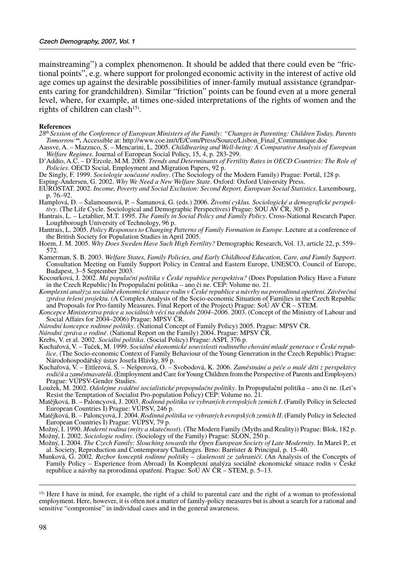mainstreaming") a complex phenomenon. It should be added that there could even be "frictional points", e.g. where support for prolonged economic activity in the interest of active old age comes up against the desirable possibilities of inner-family mutual assistance (grandparents caring for grandchildren). Similar "friction" points can be found even at a more general level, where, for example, at times one-sided interpretations of the rights of women and the rights of children can clash<sup>15)</sup>.

#### **References**

- 28th Session of the Conference of European Ministers of the Family: "Changes in Parenting: Children Today, Parents Tomorrow". Accessible at: http://www.coe.int/t/E/Com/Press/Source/Lisbon Final Communique.doc
- Aassve, A. Mazzuco, S. Mencarini, L. 2005. Childbearing and Well-being: A Comparative Analysis of European Welfare Regimes. Journal of European Social Policy, 15, 4, p. 283-299.
- D'Addio, A.C. D'Ercole, M.M. 2005. Trends and Determinants of Fertility Rates in OECD Countries: The Role of Policies. OECD Social, Employment and Migration Papers, 92 p.
- De Singly, F. 1999. Sociologie současné rodiny. (The Sociology of the Modern Family) Prague: Portál, 128 p.

Esping-Andersen, G. 2002. Why We Need a New Welfare State. Oxford: Oxford University Press.

- EUROSTAT. 2002. Income, Poverty and Social Exclusion: Second Report, European Social Statistics. Luxembourg, p. 76–92.
- Hamplová, D. Šalamounová, P. Šamanová, G. (eds.) 2006. Životní cyklus. Sociologické a demografické perspektivy. (The Life Cycle. Sociological and Demographic Perspectives) Prague: SOU AV ČR, 305 p.
- Hantrais, L. Letablier, M.T. 1995. The Family in Social Policy and Family Policy. Cross-National Research Paper. Loughborough University of Technology, 96 p.
- Hantrais, L. 2005. Policy Responses to Changing Patterns of Family Formation in Europe. Lecture at a conference of the British Society for Population Studies in April 2005.
- Hoem, J. M. 2005. Why Does Sweden Have Such High Fertility? Demographic Research, Vol. 13, article 22, p. 559– 572.
- Kamerman, S. B. 2003. Welfare States, Family Policies, and Early Childhood Education, Care, and Family Support. Consultation Meeting on Family Support Policy in Central and Eastern Europe, UNESCO, Council of Europe, Budapest, 3–5 September 2003.
- Kocourková, J. 2002. Má populační politika v České republice perspektivu? (Does Population Policy Have a Future in the Czech Republic) In Propopulační politika – ano či ne. CEP: Volume no. 21.
- Komplexní analýza sociálně ekonomické situace rodin v České republice a návrhy na prorodinná opatření. Závěrečná zpráva řešení projektu. (A Complex Analysis of the Socio-economic Situation of Families in the Czech Republic and Proposals for Pro-family Measures. Final Report of the Project) Prague: SoU AV ČR – STEM.
- Koncepce Ministerstva práce a sociálních věcí na období 2004–2006. 2003. (Concept of the Ministry of Labour and Social Affairs for 2004–2006) Prague: MPSV ČR.
- Národní koncepce rodinné politiky. (National Concept of Family Policy) 2005. Prague: MPSV ČR.
- Národní zpráva o rodině. (National Report on the Family) 2004. Prague: MPSV ČR.

- Krebs, V. et al. 2002. Sociální politika. (Social Policy) Prague: ASPI, 376 p.<br>Kuchařová, V. Tuček, M. 1999. Sociálně ekonomické souvislosti rodinného chování mladé generace v České republice. (The Socio-economic Context of Family Behaviour of the Young Generation in the Czech Republic) Prague: Národohospodářský ústav Josefa Hlávky, 89 p.
- Kuchařová, V. Ettlerová, S. Nešporová, O. Svobodová, K. 2006. Zaměstnání a péče o malé děti z perspektivy rodičů a zaměstnavatelů. (Employment and Care for Young Children from the Perspective of Parents and Employers) Prague: VÚPSV-Gender Studies.
- Loužek, M. 2002. Odolejme svádění socialistické propopulační politiky. In Propopulační politika ano či ne. (Let's Resist the Temptation of Socialist Pro-population Policy) CEP: Volume no. 21.
- Matějková, B. Paloncyová, J. 2003. Rodinná politika ve vybraných evropských zemích I. (Family Policy in Selected European Countries I) Prague: VÚPSV, 246 p.<br>Matějková, B. – Paloncyová, J. 2004, Rodinná politika ve vybraných evropských zemích II. (Family Policy in Selected
- European Countries I) Prague: VÚPSV, 79 p.
- Možný, I. 1990. Moderní rodina (mýty a skutečnost). (The Modern Family (Myths and Reality)) Prague: Blok, 182 p. Možný, I. 2002. Sociologie rodiny. (Sociology of the Family) Prague: SLON, 250 p.
- Možný, I. 2004. The Czech Family: Slouching towards the Open European Society of Late Modernity. In Mareš P., et al. Society, Reproduction and Contemporary Challenges. Brno: Barrister & Principal, p. 15–40.
- Munková, G. 2002. Rozbor konceptů rodinné politiky zkušenosti ze zahraničí. (An Analysis of the Concepts of Family Policy – Experience from Abroad) In Komplexní analýza sociálně ekonomické situace rodin v České republice a návrhy na prorodinná opatření. Prague: SoÚ AV ČR – STEM, p. 5–13.

<sup>&</sup>lt;sup>15)</sup> Here I have in mind, for example, the right of a child to parental care and the right of a woman to professional employment. Here, however, it is often not a matter of family-policy measures but is about a search for a rational and sensitive "compromise" in individual cases and in the general awareness.